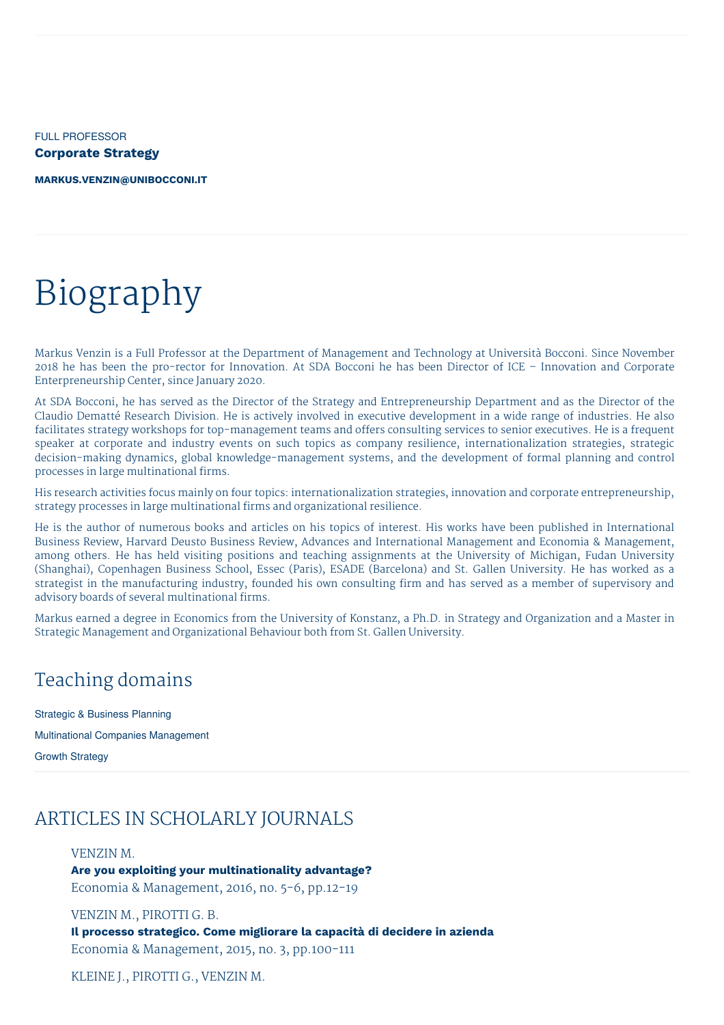FULL PROFESSOR **Corporate Strategy**

**[MARKUS.VENZIN@UNIBOCCONI.IT](mailto:markus.venzin@unibocconi.it)**

# Biography

Markus Venzin is a Full Professor at the Department of Management and Technology at Università Bocconi. Since November 2018 he has been the pro-rector for Innovation. At SDA Bocconi he has been Director of ICE – Innovation and Corporate Enterpreneurship Center, since January 2020.

At SDA Bocconi, he has served as the Director of the Strategy and Entrepreneurship Department and as the Director of the Claudio Dematté Research Division. He is actively involved in executive development in a wide range of industries. He also facilitates strategy workshops for top-management teams and offers consulting services to senior executives. He is a frequent speaker at corporate and industry events on such topics as company resilience, internationalization strategies, strategic decision-making dynamics, global knowledge-management systems, and the development of formal planning and control processes in large multinational firms.

His research activities focus mainly on four topics: internationalization strategies, innovation and corporate entrepreneurship, strategy processes in large multinational firms and organizational resilience.

He is the author of numerous books and articles on his topics of interest. His works have been published in International Business Review, Harvard Deusto Business Review, Advances and International Management and Economia & Management, among others. He has held visiting positions and teaching assignments at the University of Michigan, Fudan University (Shanghai), Copenhagen Business School, Essec (Paris), ESADE (Barcelona) and St. Gallen University. He has worked as a strategist in the manufacturing industry, founded his own consulting firm and has served as a member of supervisory and advisory boards of several multinational firms.

Markus earned a degree in Economics from the University of Konstanz, a Ph.D. in Strategy and Organization and a Master in Strategic Management and Organizational Behaviour both from St. Gallen University.

### Teaching domains

Strategic & Business Planning

Multinational Companies Management

Growth Strategy

### ARTICLES IN SCHOLARLY JOURNALS

#### VENZIN M.

**Are you exploiting your multinationality advantage?** Economia & Management, 2016, no. 5-6, pp.12-19

VENZIN M., PIROTTI G. B.

**Il processo strategico. Come migliorare la capacità di decidere in azienda** Economia & Management, 2015, no. 3, pp.100-111

KLEINE J., PIROTTI G., VENZIN M.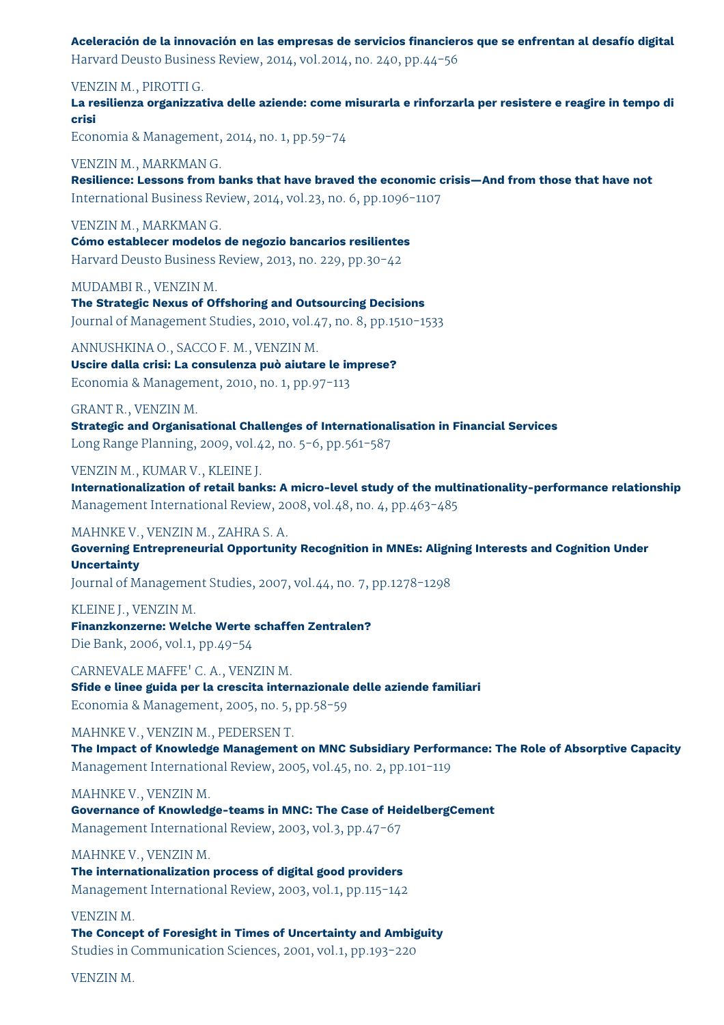**Aceleración de la innovación en las empresas de servicios financieros que se enfrentan al desafío digital**

Harvard Deusto Business Review, 2014, vol.2014, no. 240, pp.44-56

VENZIN M., PIROTTI G.

**La resilienza organizzativa delle aziende: come misurarla e rinforzarla per resistere e reagire in tempo di crisi**

Economia & Management, 2014, no. 1, pp.59-74

VENZIN M., MARKMAN G.

**Resilience: Lessons from banks that have braved the economic crisis—And from those that have not** International Business Review, 2014, vol.23, no. 6, pp.1096-1107

VENZIN M., MARKMAN G.

**Cómo establecer modelos de negozio bancarios resilientes** Harvard Deusto Business Review, 2013, no. 229, pp.30-42

MUDAMBI R., VENZIN M.

**The Strategic Nexus of Offshoring and Outsourcing Decisions** Journal of Management Studies, 2010, vol.47, no. 8, pp.1510-1533

ANNUSHKINA O., SACCO F. M., VENZIN M.

**Uscire dalla crisi: La consulenza può aiutare le imprese?** Economia & Management, 2010, no. 1, pp.97-113

GRANT R., VENZIN M.

**Strategic and Organisational Challenges of Internationalisation in Financial Services** Long Range Planning, 2009, vol.42, no. 5-6, pp.561-587

VENZIN M., KUMAR V., KLEINE J.

**Internationalization of retail banks: A micro-level study of the multinationality-performance relationship** Management International Review, 2008, vol.48, no. 4, pp.463-485

MAHNKE V., VENZIN M., ZAHRA S. A.

**Governing Entrepreneurial Opportunity Recognition in MNEs: Aligning Interests and Cognition Under Uncertainty**

Journal of Management Studies, 2007, vol.44, no. 7, pp.1278-1298

KLEINE J., VENZIN M. **Finanzkonzerne: Welche Werte schaffen Zentralen?** Die Bank, 2006, vol.1, pp.49-54

CARNEVALE MAFFE' C. A., VENZIN M. **Sfide e linee guida per la crescita internazionale delle aziende familiari** Economia & Management, 2005, no. 5, pp.58-59

MAHNKE V., VENZIN M., PEDERSEN T.

**The Impact of Knowledge Management on MNC Subsidiary Performance: The Role of Absorptive Capacity** Management International Review, 2005, vol.45, no. 2, pp.101-119

MAHNKE V., VENZIN M.

**Governance of Knowledge-teams in MNC: The Case of HeidelbergCement** Management International Review, 2003, vol.3, pp.47-67

MAHNKE V., VENZIN M. **The internationalization process of digital good providers** Management International Review, 2003, vol.1, pp.115-142

VENZIN M.

**The Concept of Foresight in Times of Uncertainty and Ambiguity** Studies in Communication Sciences, 2001, vol.1, pp.193-220

VENZIN M.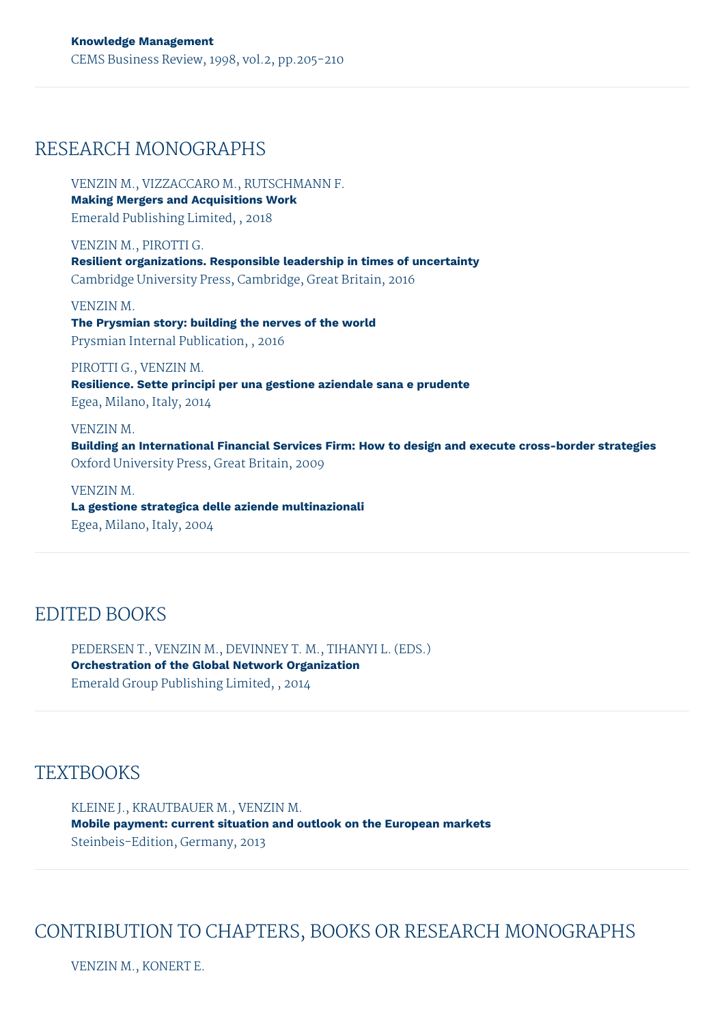### RESEARCH MONOGRAPHS

VENZIN M., VIZZACCARO M., RUTSCHMANN F. **Making Mergers and Acquisitions Work** Emerald Publishing Limited, , 2018

VENZIN M., PIROTTI G. **Resilient organizations. Responsible leadership in times of uncertainty** Cambridge University Press, Cambridge, Great Britain, 2016

VENZIN M. **The Prysmian story: building the nerves of the world** Prysmian Internal Publication, , 2016

PIROTTI G., VENZIN M. **Resilience. Sette principi per una gestione aziendale sana e prudente** Egea, Milano, Italy, 2014

VENZIN M. **Building an International Financial Services Firm: How to design and execute cross-border strategies** Oxford University Press, Great Britain, 2009

VENZIN M. **La gestione strategica delle aziende multinazionali** Egea, Milano, Italy, 2004

# EDITED BOOKS

PEDERSEN T., VENZIN M., DEVINNEY T. M., TIHANYI L. (EDS.) **Orchestration of the Global Network Organization** Emerald Group Publishing Limited, , 2014

### **TEXTBOOKS**

KLEINE J., KRAUTBAUER M., VENZIN M. **Mobile payment: current situation and outlook on the European markets** Steinbeis-Edition, Germany, 2013

# CONTRIBUTION TO CHAPTERS, BOOKS OR RESEARCH MONOGRAPHS

VENZIN M., KONERT E.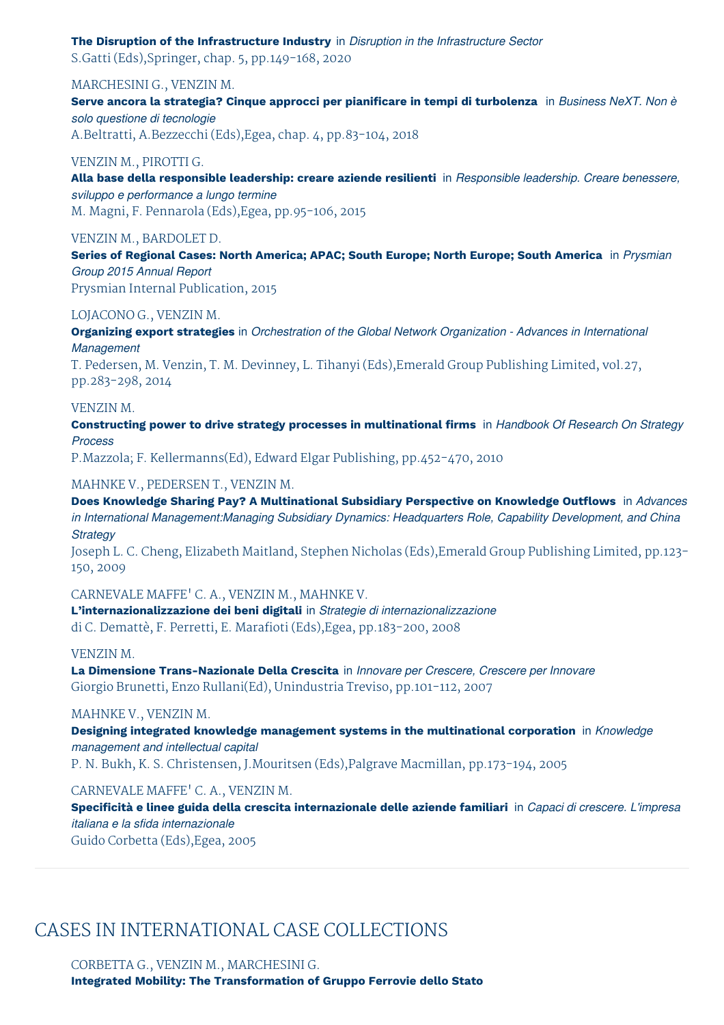# **The Disruption of the Infrastructure Industry** in *Disruption in the Infrastructure Sector*

S.Gatti (Eds),Springer, chap. 5, pp.149-168, 2020

#### MARCHESINI G., VENZIN M.

**Serve ancora la strategia? Cinque approcci per pianificare in tempi di turbolenza** in *Business NeXT. Non è solo questione di tecnologie* A.Beltratti, A.Bezzecchi (Eds),Egea, chap. 4, pp.83-104, 2018

#### VENZIN M., PIROTTI G.

**Alla base della responsible leadership: creare aziende resilienti** in *Responsible leadership. Creare benessere, sviluppo e performance a lungo termine* M. Magni, F. Pennarola (Eds),Egea, pp.95-106, 2015

#### VENZIN M., BARDOLET D.

**Series of Regional Cases: North America; APAC; South Europe; North Europe; South America** in *Prysmian Group 2015 Annual Report*

Prysmian Internal Publication, 2015

#### LOJACONO G., VENZIN M.

**Organizing export strategies** in *Orchestration of the Global Network Organization - Advances in International Management*

T. Pedersen, M. Venzin, T. M. Devinney, L. Tihanyi (Eds),Emerald Group Publishing Limited, vol.27, pp.283-298, 2014

#### VENZIN M.

**Constructing power to drive strategy processes in multinational firms** in *Handbook Of Research On Strategy Process*

P.Mazzola; F. Kellermanns(Ed), Edward Elgar Publishing, pp.452-470, 2010

#### MAHNKE V., PEDERSEN T., VENZIN M.

**Does Knowledge Sharing Pay? A Multinational Subsidiary Perspective on Knowledge Outflows** in *Advances in International Management:Managing Subsidiary Dynamics: Headquarters Role, Capability Development, and China Strategy*

Joseph L. C. Cheng, Elizabeth Maitland, Stephen Nicholas (Eds),Emerald Group Publishing Limited, pp.123- 150, 2009

#### CARNEVALE MAFFE' C. A., VENZIN M., MAHNKE V.

**L'internazionalizzazione dei beni digitali** in *Strategie di internazionalizzazione* di C. Demattè, F. Perretti, E. Marafioti (Eds),Egea, pp.183-200, 2008

#### VENZIN M.

**La Dimensione Trans-Nazionale Della Crescita** in *Innovare per Crescere, Crescere per Innovare* Giorgio Brunetti, Enzo Rullani(Ed), Unindustria Treviso, pp.101-112, 2007

#### MAHNKE V., VENZIN M.

**Designing integrated knowledge management systems in the multinational corporation** in *Knowledge management and intellectual capital*

P. N. Bukh, K. S. Christensen, J.Mouritsen (Eds),Palgrave Macmillan, pp.173-194, 2005

CARNEVALE MAFFE' C. A., VENZIN M.

**Specificità e linee guida della crescita internazionale delle aziende familiari** in *Capaci di crescere. L'impresa italiana e la sfida internazionale*

Guido Corbetta (Eds),Egea, 2005

# CASES IN INTERNATIONAL CASE COLLECTIONS

CORBETTA G., VENZIN M., MARCHESINI G.

**Integrated Mobility: The Transformation of Gruppo Ferrovie dello Stato**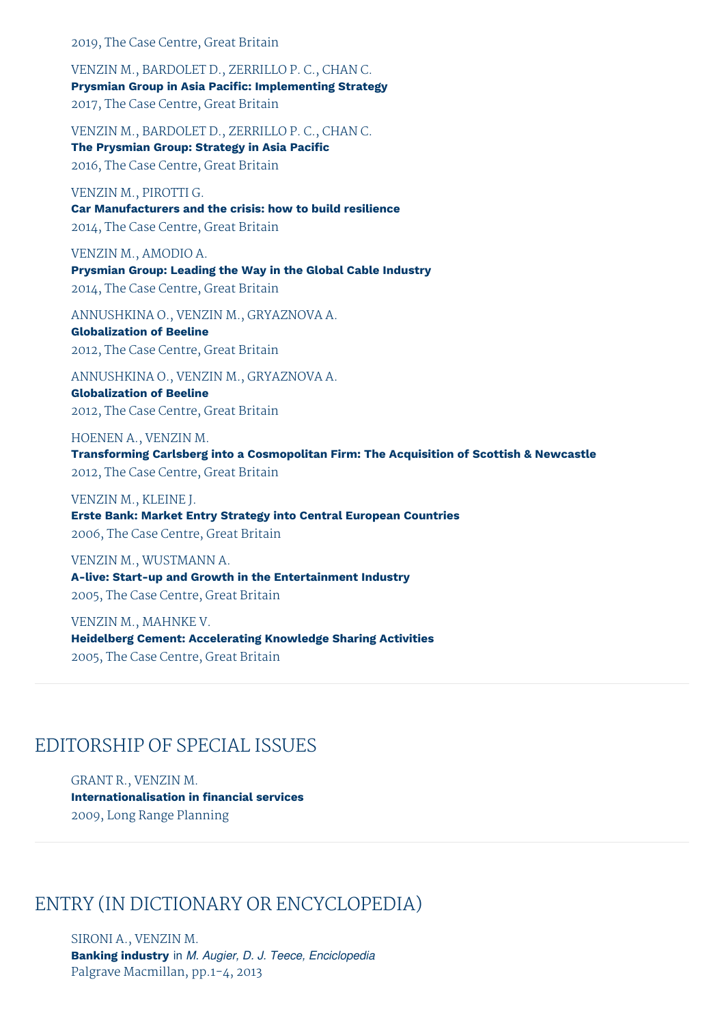#### 2019, The Case Centre, Great Britain

VENZIN M., BARDOLET D., ZERRILLO P. C., CHAN C. **Prysmian Group in Asia Pacific: Implementing Strategy** 2017, The Case Centre, Great Britain

VENZIN M., BARDOLET D., ZERRILLO P. C., CHAN C. **The Prysmian Group: Strategy in Asia Pacific** 2016, The Case Centre, Great Britain

VENZIN M., PIROTTI G. **Car Manufacturers and the crisis: how to build resilience** 2014, The Case Centre, Great Britain

VENZIN M., AMODIO A. **Prysmian Group: Leading the Way in the Global Cable Industry** 2014, The Case Centre, Great Britain

ANNUSHKINA O., VENZIN M., GRYAZNOVA A.

**Globalization of Beeline** 2012, The Case Centre, Great Britain

ANNUSHKINA O., VENZIN M., GRYAZNOVA A. **Globalization of Beeline** 2012, The Case Centre, Great Britain

HOENEN A., VENZIN M. **Transforming Carlsberg into a Cosmopolitan Firm: The Acquisition of Scottish & Newcastle** 2012, The Case Centre, Great Britain

VENZIN M., KLEINE J. **Erste Bank: Market Entry Strategy into Central European Countries** 2006, The Case Centre, Great Britain

VENZIN M., WUSTMANN A. **A-live: Start-up and Growth in the Entertainment Industry** 2005, The Case Centre, Great Britain

VENZIN M., MAHNKE V. **Heidelberg Cement: Accelerating Knowledge Sharing Activities** 2005, The Case Centre, Great Britain

### EDITORSHIP OF SPECIAL ISSUES

GRANT R., VENZIN M. **Internationalisation in financial services** 2009, Long Range Planning

### ENTRY (IN DICTIONARY OR ENCYCLOPEDIA)

SIRONI A., VENZIN M. **Banking industry** in *M. Augier, D. J. Teece, Enciclopedia* Palgrave Macmillan, pp.1-4, 2013